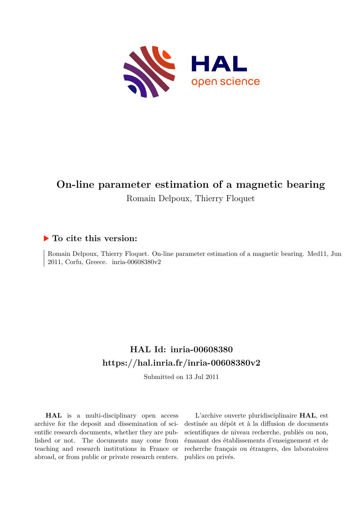

# **On-line parameter estimation of a magnetic bearing** Romain Delpoux, Thierry Floquet

# **To cite this version:**

Romain Delpoux, Thierry Floquet. On-line parameter estimation of a magnetic bearing. Med11, Jun 2011, Corfu, Greece. inria-00608380v2

# **HAL Id: inria-00608380 <https://hal.inria.fr/inria-00608380v2>**

Submitted on 13 Jul 2011

**HAL** is a multi-disciplinary open access archive for the deposit and dissemination of scientific research documents, whether they are published or not. The documents may come from teaching and research institutions in France or abroad, or from public or private research centers.

L'archive ouverte pluridisciplinaire **HAL**, est destinée au dépôt et à la diffusion de documents scientifiques de niveau recherche, publiés ou non, émanant des établissements d'enseignement et de recherche français ou étrangers, des laboratoires publics ou privés.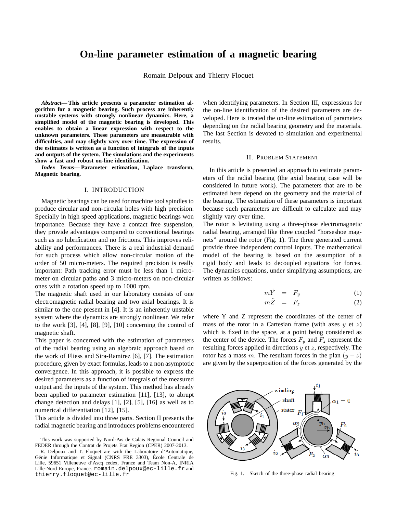# **On-line parameter estimation of a magnetic bearing**

Romain Delpoux and Thierry Floquet

*Abstract***— This article presents a parameter estimation algorithm for a magnetic bearing. Such process are inherently unstable systems with strongly nonlinear dynamics. Here, a simplified model of the magnetic bearing is developed. This enables to obtain a linear expression with respect to the unknown parameters. These parameters are measurable with difficulties, and may slightly vary over time. The expression of the estimates is written as a function of integrals of the inputs and outputs of the system. The simulations and the experiments show a fast and robust on-line identification.**

*Index Terms***— Parameter estimation, Laplace transform, Magnetic bearing.**

#### I. INTRODUCTION

Magnetic bearings can be used for machine tool spindles to produce circular and non-circular holes with high precision. Specially in high speed applications, magnetic bearings won importance. Because they have a contact free suspension, they provide advantages compared to conventional bearings such as no lubrification and no frictions. This improves reliability and performances. There is a real industrial demand for such process which allow non-circular motion of the order of 50 micro-meters. The required precision is really important: Path tracking error must be less than 1 micrometer on circular paths and 3 micro-meters on non-circular ones with a rotation speed up to 1000 rpm.

The magnetic shaft used in our laboratory consists of one electromagnetic radial bearing and two axial bearings. It is similar to the one present in [4]. It is an inherently unstable system where the dynamics are strongly nonlinear. We refer to the work [3], [4], [8], [9], [10] concerning the control of magnetic shaft.

This paper is concerned with the estimation of parameters of the radial bearing using an algebraic approach based on the work of Fliess and Sira-Ramirez [6], [7]. The estimation procedure, given by exact formulas, leads to a non asymptotic convergence. In this approach, it is possible to express the desired parameters as a function of integrals of the measured output and the inputs of the system. This method has already been applied to parameter estimation [11], [13], to abrupt change detection and delays [1], [2], [5], [16] as well as to numerical differentiation [12], [15].

This article is divided into three parts. Section II presents the radial magnetic bearing and introduces problems encountered when identifying parameters. In Section III, expressions for the on-line identification of the desired parameters are developed. Here is treated the on-line estimation of parameters depending on the radial bearing geometry and the materials. The last Section is devoted to simulation and experimental results.

## II. PROBLEM STATEMENT

In this article is presented an approach to estimate parameters of the radial bearing (the axial bearing case will be considered in future work). The parameters that are to be estimated here depend on the geometry and the material of the bearing. The estimation of these parameters is important because such parameters are difficult to calculate and may slightly vary over time.

The rotor is levitating using a three-phase electromagnetic radial bearing, arranged like three coupled "horseshoe magnets" around the rotor (Fig. 1). The three generated current provide three independent control inputs. The mathematical model of the bearing is based on the assumption of a rigid body and leads to decoupled equations for forces. The dynamics equations, under simplifying assumptions, are written as follows:

$$
m\ddot{Y} = F_y \tag{1}
$$

$$
m\ddot{Z} = F_z \tag{2}
$$

where Y and Z represent the coordinates of the center of mass of the rotor in a Cartesian frame (with axes  $y$  et  $z$ ) which is fixed in the space, at a point being considered as the center of the device. The forces  $F_y$  and  $F_z$  represent the resulting forces applied in directions  $y$  et  $z$ , respectively. The rotor has a mass m. The resultant forces in the plan  $(y - z)$ are given by the superposition of the forces generated by the



Fig. 1. Sketch of the three-phase radial bearing

This work was supported by Nord-Pas de Calais Regional Council and FEDER through the Contrat de Projets Etat Region (CPER) 2007-2013.

R. Delpoux and T. Floquet are with the Laboratoire d'Automatique, Génie Informatique et Signal (CNRS FRE 3303), École Centrale de Lille, 59651 Villeneuve d'Ascq cedex, France and Team Non-A, INRIA Lille-Nord Europe, France. romain.delpoux@ec-lille.fr and thierry.floquet@ec-lille.fr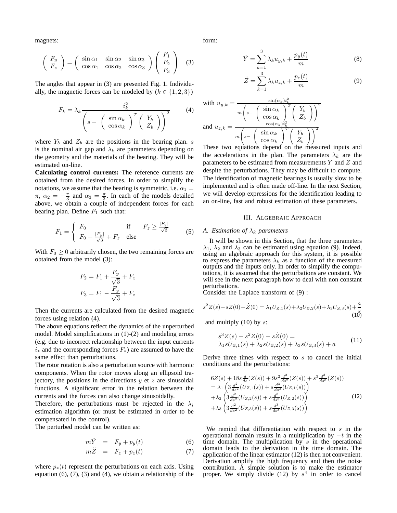magnets:

$$
\begin{pmatrix} F_y \\ F_z \end{pmatrix} = \begin{pmatrix} \sin \alpha_1 & \sin \alpha_2 & \sin \alpha_3 \\ \cos \alpha_1 & \cos \alpha_2 & \cos \alpha_3 \end{pmatrix} \begin{pmatrix} F_1 \\ F_2 \\ F_3 \end{pmatrix}
$$
 (3)

The angles that appear in (3) are presented Fig. 1. Individually, the magnetic forces can be modeled by  $(k \in \{1, 2, 3\})$ 

$$
F_k = \lambda_k \frac{i_k^2}{\left(s - \left(\begin{array}{c} \sin \alpha_k \\ \cos \alpha_k \end{array}\right)^T \left(\begin{array}{c} Y_b \\ Z_b \end{array}\right)\right)^2} \tag{4}
$$

where  $Y_b$  and  $Z_b$  are the positions in the bearing plan. s is the nominal air gap and  $\lambda_k$  are parameters depending on the geometry and the materials of the bearing. They will be estimated on-line.

**Calculating control currents:** The reference currents are obtained from the desired forces. In order to simplify the notations, we assume that the bearing is symmetric, i.e.  $\alpha_1 =$  $\pi$ ,  $\alpha_2 = -\frac{\pi}{3}$  and  $\alpha_3 = \frac{\pi}{3}$ . In each of the models detailed above, we obtain a couple of independent forces for each bearing plan. Define  $F_1$  such that:

$$
F_1 = \begin{cases} F_0 & \text{if } F_z \ge \frac{|F_y|}{\sqrt{3}} \\ F_0 - \frac{|F_y|}{\sqrt{3}} + F_z & \text{else} \end{cases} \tag{5}
$$

With  $F_0 \geq 0$  arbitrarily chosen, the two remaining forces are obtained from the model (3):

$$
F_2 = F_1 + \frac{F_y}{\sqrt{3}} + F_z
$$

$$
F_3 = F_1 - \frac{F_y}{\sqrt{3}} + F_z
$$

Then the currents are calculated from the desired magnetic forces using relation (4).

The above equations reflect the dynamics of the unperturbed model. Model simplifications in (1)-(2) and modeling errors (e.g. due to incorrect relationship between the input currents  $i<sub>*</sub>$  and the corresponding forces  $F<sub>*</sub>$ ) are assumed to have the same effect than perturbations.

The rotor rotation is also a perturbation source with harmonic components. When the rotor moves along an ellipsoid trajectory, the positions in the directions  $y$  et  $z$  are sinusoidal functions. A significant error in the relation between the currents and the forces can also change sinusoidally.

Therefore, the perturbations must be rejected in the  $\lambda_i$ estimation algorithm (or must be estimated in order to be compensated in the control).

The perturbed model can be written as:

$$
m\ddot{Y} = F_y + p_y(t) \tag{6}
$$

$$
m\ddot{Z} = F_z + p_z(t) \tag{7}
$$

where  $p_*(t)$  represent the perturbations on each axis. Using equation  $(6)$ ,  $(7)$ ,  $(3)$  and  $(4)$ , we obtain a relationship of the form:

$$
\ddot{Y} = \sum_{k=1}^{3} \lambda_k u_{y,k} + \frac{p_y(t)}{m}
$$
 (8)

$$
\ddot{Z} = \sum_{k=1}^{3} \lambda_k u_{z,k} + \frac{p_z(t)}{m}
$$
 (9)

with 
$$
u_{y,k} = \frac{\sin(\alpha_k) i_k^2}{m \left(s - \left(\frac{\sin \alpha_k}{\cos \alpha_k}\right)^T \left(\frac{Y_b}{Z_b}\right)\right)^2}
$$
  
and  $u_{z,k} = \frac{\cos(\alpha_k) i_k^2}{m \left(s - \left(\frac{\sin \alpha_k}{\cos \alpha_k}\right)^T \left(\frac{Y_b}{Z_b}\right)\right)^2}$ 

These two equations depend on the measured inputs and the accelerations in the plan. The parameters  $\lambda_k$  are the parameters to be estimated from measurements  $Y$  and  $Z$  and despite the perturbations. They may be difficult to compute. The identification of magnetic bearings is usually slow to be implemented and is often made off-line. In the next Section, we will develop expressions for the identification leading to an on-line, fast and robust estimation of these parameters.

## III. ALGEBRAIC APPROACH

# *A. Estimation of*  $\lambda_k$  *parameters*

It will be shown in this Section, that the three parameters  $\lambda_1$ ,  $\lambda_2$  and  $\lambda_3$  can be estimated using equation (9). Indeed, using an algebraic approach for this system, it is possible to express the parameters  $\lambda_k$  as a function of the measured outputs and the inputs only. In order to simplify the computations, it is assumed that the perturbations are constant. We will see in the next paragraph how to deal with non constant perturbations.

Consider the Laplace transform of (9) :

$$
s^{2}Z(s) - sZ(0) - \dot{Z}(0) = \lambda_{1}U_{Z,1}(s) + \lambda_{2}U_{Z,2}(s) + \lambda_{3}U_{Z,3}(s) + \frac{a}{s}
$$
\n
$$
(1\overset{\circ}{0})
$$

and multiply  $(10)$  by  $s$ :

$$
s^{3}Z(s) - s^{2}Z(0) - s\dot{Z}(0) =
$$
  
\n
$$
\lambda_{1}sU_{Z,1}(s) + \lambda_{2}sU_{Z,2}(s) + \lambda_{3}sU_{Z,3}(s) + a
$$
\n(11)

Derive three times with respect to  $s$  to cancel the initial conditions and the perturbations:

$$
6Z(s) + 18s\frac{d}{ds}(Z(s)) + 9s^2\frac{d^2}{ds^2}(Z(s)) + s^3\frac{d^3}{ds^3}(Z(s))
$$
  
\n
$$
= \lambda_1 \left(3\frac{d^2}{ds^2}(U_{Z,1}(s)) + s\frac{d^3}{ds^3}(U_{Z,1}(s))\right)
$$
  
\n
$$
+ \lambda_2 \left(3\frac{d^2}{ds^2}(U_{Z,2}(s)) + s\frac{d^3}{ds^3}(U_{Z,2}(s))\right)
$$
  
\n
$$
+ \lambda_3 \left(3\frac{d^2}{ds^2}(U_{Z,3}(s)) + s\frac{d^3}{ds^3}(U_{Z,3}(s))\right)
$$
\n(12)

We remind that differentiation with respect to  $s$  in the operational domain results in a multiplication by  $-t$  in the time domain. The multiplication by  $s$  in the operational domain leads to the derivation in the time domain. The application of the linear estimator (12) is then not convenient. Derivation amplify the high frequency and then the noise contribution. A simple solution is to make the estimator proper. We simply divide (12) by  $s<sup>4</sup>$  in order to cancel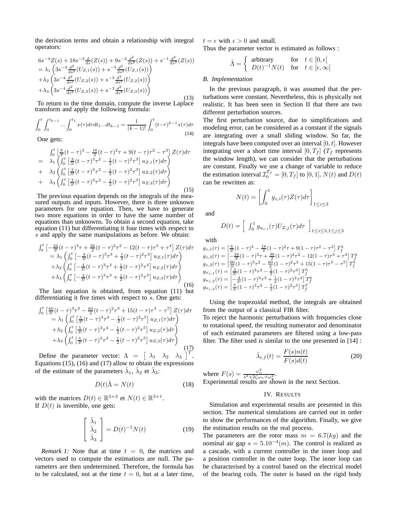the derivation terms and obtain a relationship with integral operators:

$$
6s^{-4}Z(s) + 18s^{-3} \frac{d}{ds}(Z(s)) + 9s^{-2} \frac{d^2}{ds^2}(Z(s)) + s^{-1} \frac{d^3}{ds^3}(Z(s))
$$
  
\n
$$
= \lambda_1 \left(3s^{-4} \frac{d^2}{ds^2}(U_{Z,1}(s)) + s^{-3} \frac{d^3}{ds^3}(U_{Z,1}(s))\right)
$$
  
\n
$$
+ \lambda_2 \left(3s^{-4} \frac{d^2}{ds^2}(U_{Z,2}(s)) + s^{-3} \frac{d^3}{ds^3}(U_{Z,2}(s))\right)
$$
  
\n
$$
+ \lambda_3 \left(3s^{-4} \frac{d^2}{ds^2}(U_{Z,3}(s)) + s^{-3} \frac{d^3}{ds^3}(U_{Z,3}(s))\right)
$$
  
\n
$$
(13)
$$

To return to the time domain, compute the inverse Laplace transform and apply the following formula:

$$
\int_0^t \int_0^{t_{k-1}} \dots \int_0^{t_1} x(\tau) d\tau dt_1 \dots dt_{k-1} = \frac{1}{(k-1)!} \int_0^t (t-\tau)^{k-1} x(\tau) d\tau
$$
\n(14)

One gets:

$$
\int_{0}^{t} \left[ \frac{6}{3!} (t-\tau)^3 - \frac{18}{2} (t-\tau)^2 \tau + 9(t-\tau) \tau^2 - \tau^3 \right] Z(\tau) d\tau \n= \lambda_1 \left( \int_{0}^{t} \left[ \frac{3}{3!} (t-\tau)^3 \tau^2 - \frac{1}{2} (t-\tau)^2 \tau^3 \right] u_{Z,1}(\tau) d\tau \right) \n+ \lambda_2 \left( \int_{0}^{t} \left[ \frac{3}{3!} (t-\tau)^3 \tau^2 - \frac{1}{2} (t-\tau)^2 \tau^3 \right] u_{Z,2}(\tau) d\tau \right) \n+ \lambda_3 \left( \int_{0}^{t} \left[ \frac{3}{3!} (t-\tau)^3 \tau^2 - \frac{1}{2} (t-\tau)^2 \tau^3 \right] u_{Z,3}(\tau) d\tau \right)
$$
\n(15)

The previous equation depends on the integrals of the measured outputs and inputs. However, there is three unknown parameters for one equation. Then, we have to generate two more equations in order to have the same number of equations than unknowns. To obtain a second equation, take equation (11) but differentiating it four times with respect to s and apply the same manipulations as before. We obtain:

$$
\int_{0}^{t} \left[ -\frac{24}{3!} (t-\tau)^3 \tau + \frac{36}{2} (t-\tau)^2 \tau^2 - 12(t-\tau) \tau^3 + \tau^4 \right] Z(\tau) d\tau \n= \lambda_1 \left( \int_{0}^{t} \left[ -\frac{4}{3!} (t-\tau)^3 \tau^3 + \frac{1}{2} (t-\tau)^2 \tau^4 \right] u_{Z,1}(\tau) d\tau \right) \n+ \lambda_2 \left( \int_{0}^{t} \left[ -\frac{4}{3!} (t-\tau)^3 \tau^3 + \frac{1}{2} (t-\tau)^2 \tau^4 \right] u_{Z,2}(\tau) d\tau \right) \n+ \lambda_3 \left( \int_{0}^{t} \left[ -\frac{4}{3!} (t-\tau)^3 \tau^3 + \frac{1}{2} (t-\tau)^2 \tau^4 \right] u_{Z,3}(\tau) d\tau \right)
$$
\n(16)

The last equation is obtained, from equation (11) but differentiating it five times with respect to s. One gets:

$$
\int_{0}^{t} \left[ \frac{60}{3!} (t-\tau)^{3} \tau^{2} - \frac{60}{2} (t-\tau)^{2} \tau^{3} + 15(t-\tau) \tau^{4} - \tau^{5} \right] Z(\tau) d\tau
$$
\n
$$
= \lambda_{1} \left( \int_{0}^{t} \left[ \frac{5}{3!} (t-\tau)^{3} \tau^{4} - \frac{1}{2} (t-\tau)^{2} \tau^{5} \right] u_{Z,1}(\tau) d\tau \right)
$$
\n
$$
+ \lambda_{2} \left( \int_{0}^{t} \left[ \frac{5}{3!} (t-\tau)^{3} \tau^{4} - \frac{1}{2} (t-\tau)^{2} \tau^{5} \right] u_{Z,2}(\tau) d\tau \right)
$$
\n
$$
+ \lambda_{3} \left( \int_{0}^{t} \left[ \frac{5}{3!} (t-\tau)^{3} \tau^{4} - \frac{1}{2} (t-\tau)^{2} \tau^{5} \right] u_{Z,3}(\tau) d\tau \right)
$$
\n(17)

Define the parameter vector:  $\Lambda = \begin{bmatrix} \lambda_1 & \lambda_2 & \lambda_3 \end{bmatrix}^T$ . Equations  $(15)$ ,  $(16)$  and  $(17)$  allow to obtain the expressions of the estimate of the parameters  $\hat{\lambda}_1$ ,  $\hat{\lambda}_2$  et  $\hat{\lambda}_3$ :

$$
D(t)\hat{\Lambda} = N(t) \tag{18}
$$

with the matrices  $D(t) \in \mathbb{R}^{3 \times 3}$  et  $N(t) \in \mathbb{R}^{3 \times 1}$ . If  $D(t)$  is invertible, one gets:

$$
\begin{bmatrix} \hat{\lambda}_1\\ \hat{\lambda}_2\\ \hat{\lambda}_3 \end{bmatrix} = D(t)^{-1}N(t) \tag{19}
$$

*Remark 1:* Note that at time  $t = 0$ , the matrices and vectors used to compute the estimations are null. The parameters are then undetermined. Therefore, the formula has to be calculated, not at the time  $t = 0$ , but at a later time,  $t = \epsilon$  with  $\epsilon > 0$  and small.

Thus the parameter vector is estimated as follows :

$$
\hat{\Lambda} = \begin{cases}\n\text{ arbitrary} & \text{for} \quad t \in [0, \epsilon[ \\
D(t)^{-1}N(t) & \text{for} \quad t \in [\epsilon, \infty[ \end{cases}
$$

# *B. Implementation*

In the previous paragraph, it was assumed that the perturbations were constant. Nevertheless, this is physically not realistic. It has been seen in Section II that there are two different perturbation sources.

The first perturbation source, due to simplifications and modeling error, can be considered as a constant if the signals are integrating over a small sliding window. So far, the integrals have been computed over an interval  $[0, t]$ . However integrating over a short time interval  $[0, T_f]$  ( $T_f$  represents the window length), we can consider that the perturbations are constant. Finally we\_use a change of variable to reduce the estimation interval  $\mathcal{I}_0^{T_f} = [0, T_f]$  to  $[0, 1]$ .  $N(t)$  and  $D(t)$ can be rewritten as:

$$
N(t) = \left[ \int_0^1 g_{z,i}(\tau) Z(\tau) d\tau \right]_{1 \le i \le 3}
$$

and

$$
D(t) = \left[ \int_0^1 g_{u_{z,i}}(\tau) U_{Z,j}(\tau) d\tau \right]_{1 \le i \le 3, 1 \le j \le 3}
$$

with

$$
g_{z,1}(\tau) = \left[\frac{6}{3!}(1-\tau)^3 - \frac{18}{2}(1-\tau)^2\tau + 9(1-\tau)\tau^2 - \tau^3\right]T_f^3
$$
  
\n
$$
g_{z,2}(\tau) = \left[-\frac{24}{3!}(1-\tau)^3\tau + \frac{36}{2}(1-\tau)^2\tau^2 - 12(1-\tau)\tau^3 + \tau^4\right]T_f^4
$$
  
\n
$$
g_{z,3}(\tau) = \left[\frac{60}{3!}(1-\tau)^3\tau^2 - \frac{60}{2}(1-\tau)^2\tau^3 + 15(1-\tau)\tau^5 - \tau^5\right]T_f^5
$$
  
\n
$$
g_{u_{z,1}}(\tau) = \left[\frac{3}{3!}(1-\tau)^3\tau^2 - \frac{1}{2}(1-\tau)^2\tau^3\right]T_f^5
$$
  
\n
$$
g_{u_{z,2}}(\tau) = \left[-\frac{4}{3!}(1-\tau)^3\tau^3 + \frac{1}{2}(1-\tau)^2\tau^4\right]T_f^6
$$
  
\n
$$
g_{u_{z,3}}(\tau) = \left[\frac{5}{3!}(1-\tau)^3\tau^4 - \frac{1}{2}(1-\tau)^2\tau^5\right]T_f^7
$$

Using the trapezoidal method, the integrals are obtained from the output of a classical FIR filter. To reject the harmonic perturbations with frequencies close to rotational speed, the resulting numerator and denominator of each estimated parameters are filtered using a low-pass filter. The filter used is similar to the one presented in [14] :

$$
\hat{\lambda}_{i,f}(t) = \frac{F(s)n(t)}{F(s)d(t)}
$$
\n(20)

where  $F(s) = \frac{\omega_n^2}{s^2 + 2\zeta \omega_n + \omega_n^2}$ . Experimental results are shown in the next Section.

### IV. RESULTS

Simulation and experimental results are presented in this section. The numerical simulations are carried out in order to show the performances of the algorithm. Finally, we give the estimation results on the real process.

The parameters are the rotor mass  $m = 6.7(kq)$  and the nominal air gap  $s = 5.10^{-4}(m)$ . The control is realized as a cascade, with a current controller in the inner loop and a position controller in the outer loop. The inner loop can be characterised by a control based on the electrical model of the bearing coils. The outer is based on the rigid body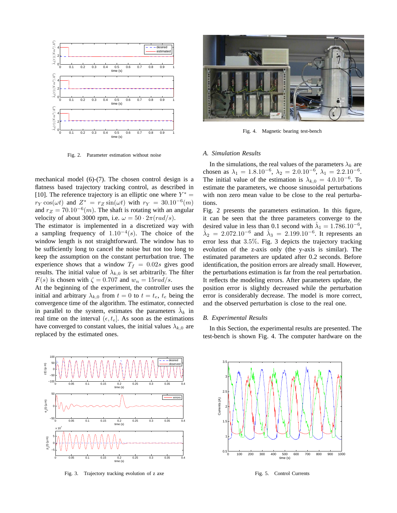

Fig. 2. Parameter estimation without noise

mechanical model (6)-(7). The chosen control design is a flatness based trajectory tracking control, as described in [10]. The reference trajectory is an elliptic one where  $Y^* =$  $r_Y \cos(\omega t)$  and  $Z^* = r_Z \sin(\omega t)$  with  $r_Y = 30.10^{-6}(m)$ and  $r_Z = 70.10^{-6}(m)$ . The shaft is rotating with an angular velocity of about 3000 rpm, i.e.  $\omega = 50 \cdot 2\pi (rad/s)$ .

The estimator is implemented in a discretized way with a sampling frequency of  $1.10^{-4}(s)$ . The choice of the window length is not straightforward. The window has to be sufficiently long to cancel the noise but not too long to keep the assumption on the constant perturbation true. The experience shows that a window  $T_f = 0.02s$  gives good results. The initial value of  $\lambda_{k,0}$  is set arbitrarily. The filter  $F(s)$  is chosen with  $\zeta = 0.707$  and  $w_n = 15 \frac{rad}{s}$ .

At the beginning of the experiment, the controller uses the initial and arbitrary  $\lambda_{k,0}$  from  $t = 0$  to  $t = t_e$ ,  $t_e$  being the convergence time of the algorithm. The estimator, connected in parallel to the system, estimates the parameters  $\hat{\lambda}_k$  in real time on the interval  $(\epsilon, t_e)$ . As soon as the estimations have converged to constant values, the initial values  $\lambda_{k,0}$  are replaced by the estimated ones.



Fig. 4. Magnetic bearing test-bench

#### *A. Simulation Results*

In the simulations, the real values of the parameters  $\lambda_k$  are chosen as  $\lambda_1 = 1.8 \cdot 10^{-6}$ ,  $\lambda_2 = 2 \cdot 0 \cdot 10^{-6}$ ,  $\lambda_1 = 2 \cdot 2 \cdot 10^{-6}$ . The initial value of the estimation is  $\lambda_{k,0} = 4.0.10^{-6}$ . To estimate the parameters, we choose sinusoidal perturbations with non zero mean value to be close to the real perturbations.

Fig. 2 presents the parameters estimation. In this figure, it can be seen that the three parameters converge to the desired value in less than 0.1 second with  $\hat{\lambda}_1 = 1.786.10^{-6}$ ,  $\hat{\lambda}_2 = 2.072.10^{-6}$  and  $\hat{\lambda}_3 = 2.199.10^{-6}$ . It represents an error less that 3.5%. Fig. 3 depicts the trajectory tracking evolution of the z-axis only (the y-axis is similar). The estimated parameters are updated after 0.2 seconds. Before identification, the position errors are already small. However, the perturbations estimation is far from the real perturbation. It reflects the modeling errors. After parameters update, the position error is slightly decreased while the perturbation error is considerably decrease. The model is more correct, and the observed perturbation is close to the real one.

#### *B. Experimental Results*

In this Section, the experimental results are presented. The test-bench is shown Fig. 4. The computer hardware on the



Fig. 3. Trajectory tracking evolution of z axe



Fig. 5. Control Currents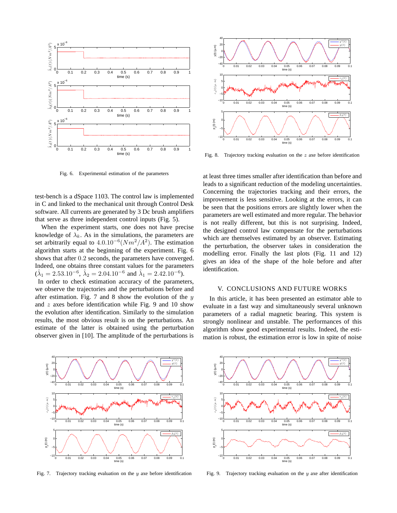

Fig. 6. Experimental estimation of the parameters

test-bench is a dSpace 1103. The control law is implemented in C and linked to the mechanical unit through Control Desk software. All currents are generated by 3 Dc brush amplifiers that serve as three independent control inputs (Fig. 5).

When the experiment starts, one does not have precise knowledge of  $\lambda_k$ . As in the simulations, the parameters are set arbitrarily equal to  $4.0.10^{-6} (Nm^2/A^2)$ . The estimation algorithm starts at the beginning of the experiment. Fig. 6 shows that after 0.2 seconds, the parameters have converged. Indeed, one obtains three constant values for the parameters  $(\hat{\lambda}_1 = 2.53.10^{-6}, \, \hat{\lambda}_2 = 2.04.10^{-6} \text{ and } \hat{\lambda}_1 = 2.42.10^{-6}).$ 

In order to check estimation accuracy of the parameters, we observe the trajectories and the perturbations before and after estimation. Fig. 7 and 8 show the evolution of the  $y$ and z axes before identification while Fig. 9 and 10 show the evolution after identification. Similarly to the simulation results, the most obvious result is on the perturbations. An estimate of the latter is obtained using the perturbation observer given in [10]. The amplitude of the perturbations is



Fig. 7. Trajectory tracking evaluation on the  $y$  axe before identification



Fig. 8. Trajectory tracking evaluation on the z axe before identification

at least three times smaller after identification than before and leads to a significant reduction of the modeling uncertainties. Concerning the trajectories tracking and their errors, the improvement is less sensitive. Looking at the errors, it can be seen that the positions errors are slightly lower when the parameters are well estimated and more regular. The behavior is not really different, but this is not surprising. Indeed, the designed control law compensate for the perturbations which are themselves estimated by an observer. Estimating the perturbation, the observer takes in consideration the modelling error. Finally the last plots (Fig. 11 and 12) gives an idea of the shape of the hole before and after identification.

### V. CONCLUSIONS AND FUTURE WORKS

In this article, it has been presented an estimator able to evaluate in a fast way and simultaneously several unknown parameters of a radial magnetic bearing. This system is strongly nonlinear and unstable. The performances of this algorithm show good experimental results. Indeed, the estimation is robust, the estimation error is low in spite of noise



Fig. 9. Trajectory tracking evaluation on the  $y$  axe after identification